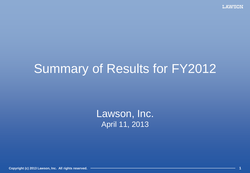# Summary of Results for FY2012

Lawson, Inc. April 11, 2013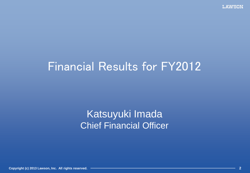# Financial Results for FY2012

## Katsuyuki Imada Chief Financial Officer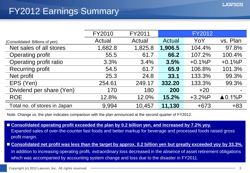### FY2012 Earnings Summary

|                                 | FY2010  | FY2011  |         | <b>FY2012</b> |                   |
|---------------------------------|---------|---------|---------|---------------|-------------------|
| (Consolidated: Billions of yen) | Actual  | Actual  | Actual  | YoY           | vs. Plan          |
| Net sales of all stores         | 1,682.8 | 1,825.8 | 1,906.5 | 104.4%        | 97.8%             |
| <b>Operating profit</b>         | 55.5    | 61.7    | 66.2    | 107.2%        | 100.4%            |
| Operating profit ratio          | 3.3%    | 3.4%    | 3.5%    | $+0.1%P$      | $+0.1%P$          |
| <b>Recurring profit</b>         | 54.5    | 61.7    | 65.9    | 106.8%        | 101.3%            |
| Net profit                      | 25.3    | 24.8    | 33.1    | 133.3%        | 99.3%             |
| EPS (Yen)                       | 254.61  | 249.17  | 332.20  | 133.3%        | 99.3%             |
| Dividend per share (Yen)        | 170     | 180     | 200     | $+20$         |                   |
| <b>ROE</b>                      | 12.8%   | 12.0%   | 15.2%   | $+3.2%P$      | $\triangle$ 0.1%P |
| Total no. of stores in Japan    | 9,994   | 10,457  | 11,130  | $+673$        | $+83$             |

Note: Change vs. the plan indicates comparison with the plan announced at the second quarter of FY2012.

- Consolidated operating profit exceeded the plan by 0.2 billion yen, and increased by 7.2% yoy. Expanded sales of over-the-counter fast foods and better markup for beverage and processed foods raised gross profit margin.
- **Consolidated net profit was less than the target by approx. 0.2 billion yen but greatly exceeded yoy by 33.3%.**

In addition to increasing operating profit, extraordinary loss decreased in the absence of asset retirement obligations which was accompanied by accounting system change and loss due to the disaster in FY2011.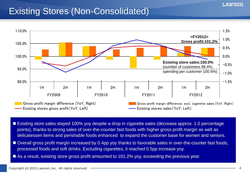### Existing Stores (Non-Consolidated)



- Existing store sales stayed 100% yoy despite a drop in cigarette sales (decrease approx. 1.0 percentage points), thanks to strong sales of over-the-counter fast foods with higher gross profit margin as well as delicatessen items and perishable foods enhanced to expand the customer base for women and seniors.
- Overall gross profit margin increased by 0.4pp yoy thanks to favorable sales in over-the-counter fast foods, processed foods and soft drinks. Excluding cigarettes, it reached 0.5pp increase yoy.
- As a result, existing store gross profit amounted to 101.2% yoy, exceeding the previous year.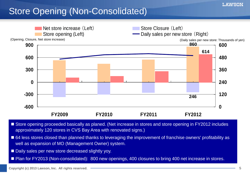### Store Opening (Non-Consolidated)



- Store opening proceeded basically as planed. (Net increase in stores and store opening in FY2012 includes approximately 120 stores in CVS Bay Area with renovated signs.)
- 64 less stores closed than planned thanks to leveraging the improvement of franchise owners' profitability as well as expansion of MO (Management Owner) system.
- Daily sales per new store decreased slightly yoy.
- Plan for FY2013 (Non-consolidated): 800 new openings, 400 closures to bring 400 net increase in stores.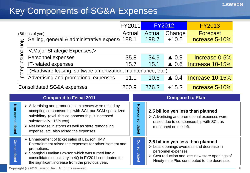### Key Components of SG&A Expenses

|                  |                                                                                                                                                                                                                                                                                                                                     | FY2011<br><b>FY2012</b> |                  | <b>FY2013</b> |                         |                                                                                                                                              |
|------------------|-------------------------------------------------------------------------------------------------------------------------------------------------------------------------------------------------------------------------------------------------------------------------------------------------------------------------------------|-------------------------|------------------|---------------|-------------------------|----------------------------------------------------------------------------------------------------------------------------------------------|
|                  | (Billions of yen)                                                                                                                                                                                                                                                                                                                   | Actual                  |                  | Actual        | Change                  | <b>Forecast</b>                                                                                                                              |
|                  | Selling, general & administrative expens                                                                                                                                                                                                                                                                                            | 188.1                   |                  | 198.7         | $+10.5$                 | Increase 5-10%                                                                                                                               |
| Non-consolidated | $\leq$ Major Strategic Expenses $>$                                                                                                                                                                                                                                                                                                 |                         |                  |               |                         |                                                                                                                                              |
|                  | Personnel expenses                                                                                                                                                                                                                                                                                                                  |                         | 35.8             | 34.9          | $\triangle$ 0.9         | Increase 0-5%                                                                                                                                |
|                  | <b>IT-related expenses</b>                                                                                                                                                                                                                                                                                                          |                         | 15.7             | 15.1          | $\triangle$ 0.6         | Increase 10-15%                                                                                                                              |
|                  | (Hardware leasing, software amortization, maintenance, etc.)                                                                                                                                                                                                                                                                        |                         |                  |               |                         |                                                                                                                                              |
|                  | Advertising and promotional expenses                                                                                                                                                                                                                                                                                                |                         | 11.1             | 10.6          | $\triangle$ 0.4         | Increase 10-15%                                                                                                                              |
|                  | <b>Consolidated SG&amp;A expenses</b>                                                                                                                                                                                                                                                                                               | 260.9                   |                  | 276.3         | $+15.3$                 | Increase 5-10%                                                                                                                               |
|                  |                                                                                                                                                                                                                                                                                                                                     |                         |                  |               |                         |                                                                                                                                              |
|                  | <b>Compared to Fiscal 2011</b>                                                                                                                                                                                                                                                                                                      |                         |                  |               | <b>Compared to Plan</b> |                                                                                                                                              |
| Non-consolidated | $\triangleright$ Advertising and promotional expenses were raised by<br>accepting co-sponsorship with SCI, our SCM-specialized<br>subsidiary. (excl. this co-sponsorship, it increased<br>substantially +16% yoy)<br>$\triangleright$ Net increase in stores as well as store remodeling<br>expense, etc. also raised the expenses. |                         | Non-consolidated |               | mentioned on the left.  | 2.5 billion yen less than planned<br>$\triangleright$ Advertising and promotional expenses were<br>raised due to co-sponsorship with SCI, as |

**Copyright (c) 2013 Lawson, Inc. All rights reserved. 6**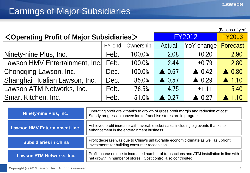|                                                                  |               |               | (Billions of yen) |                  |                  |
|------------------------------------------------------------------|---------------|---------------|-------------------|------------------|------------------|
| <operating major="" of="" profit="" subsidiaries=""></operating> | <b>FY2012</b> | <b>FY2013</b> |                   |                  |                  |
|                                                                  | FY-end        | Ownership     | Actual            | YoY change       | <b>Forecast</b>  |
| Ninety-nine Plus, Inc.                                           | Feb.          | 100.0%        | 2.08              | $+0.20$          | 2.90             |
| Lawson HMV Entertainment, Inc.                                   | Feb.          | 100.0%        | 2.44              | $+0.79$          | 2.80             |
| Chongqing Lawson, Inc.                                           | Dec.          | 100.0%        | $\triangle$ 0.67  | $\triangle$ 0.42 | $\triangle$ 0.80 |
| Shanghai Hualian Lawson, Inc.                                    | Dec.          | 85.0%         | $\triangle$ 0.57  | $\triangle$ 0.29 | $\triangle$ 1.10 |
| Lawson ATM Networks, Inc.                                        | Feb.          | 76.5%         | 4.75              | $+1.11$          | 5.40             |
| <b>Smart Kitchen, Inc.</b>                                       | Feb.          | 51.0%         | 0.27              | $\triangle$ 0.27 | 110              |

| <b>Ninety-nine Plus, Inc.</b>         | Operating profit grew thanks to growth of gross profit margin and reduction of cost.<br>Steady progress in conversion to franchise stores are in progress.   |
|---------------------------------------|--------------------------------------------------------------------------------------------------------------------------------------------------------------|
| <b>Lawson HMV Entertainment, Inc.</b> | Achieved profit increase with favorable ticket sales including big events thanks to<br>enhancement in the entertainment business.                            |
| <b>Subsidiaries in China</b>          | Profit decrease was due to China's unfavorable economic climate as well as upfront<br>investments for building consumer recognition.                         |
| <b>Lawson ATM Networks, Inc.</b>      | Profit increased due to increased number of transactions and ATM installation in line with<br>net growth in number of stores. Cost control also contributed. |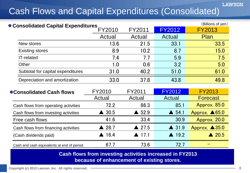## Cash Flows and Capital Expenditures (Consolidated)

| • Consolidated Capital Expenditures |        |                                        |                | (Billions of yen) |
|-------------------------------------|--------|----------------------------------------|----------------|-------------------|
|                                     | FY2010 | FY2011                                 | <b>FY2012</b>  | <b>FY2013</b>     |
|                                     | Actual | Actual                                 | Actual         | Plan              |
| New stores                          | 13.6   | 21.5                                   | 33.1           | 33.5              |
| <b>Existing stores</b>              | 8.9    | 10.2                                   | 8.7            | 15.0              |
| IT-related                          | 7.4    | 7.7                                    | 5.9            | 7.5               |
| Other                               | 1.0    | 0.6                                    | 3.2            | 5.0               |
| Subtotal for capital expenditures   | 31.0   | 40.2                                   | 51.0           | 61.0              |
| Depreciation and amortization       | 33.0   | 37.8                                   | 43.8           | 49.8              |
| .                                   |        | $\Gamma$ $\Lambda$ $\Lambda$ $\Lambda$ | <b>FVIAAIA</b> |                   |

| ● Consolidated Cash flows                  | FY2010                | FY2011                | <b>FY2012</b>    | <b>FY2013</b>            |
|--------------------------------------------|-----------------------|-----------------------|------------------|--------------------------|
|                                            | Actual                | Actual                | Actual           | <b>Forecast</b>          |
| Cash flows from operating activities       | 72.2                  | 86.3                  | 85.1             | Approx. 85.0             |
| Cash flows from investing activities       | $\triangle$ 30.5      | $\triangle$ 52.9      | $\triangle$ 54.1 | Approx. $\triangle 65.0$ |
| Free cash flows                            | 41.6                  | 33.4                  | 30.9             | Approx. 20.0             |
| Cash flows from financing activities       | $\triangle$ 28.7      | $\triangle$ 27.5      | $\triangle$ 31.9 | Approx. $\triangle 35.0$ |
| (Cash dividends paid)                      | $\blacktriangle$ 16.4 | $\blacktriangle$ 17.1 | $\triangle$ 19.2 | $\triangle$ 20.5         |
| Cash and cash equivalents at end of period | 67.7                  | 73.6                  | 72.7             |                          |

**Cash flows from investing activities increased in FY2013 because of enhancement of existing stores.**

**LAWSON**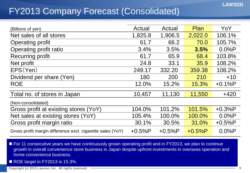### FY2013 Company Forecast (Consolidated)

| (Billions of yen)                                          | Actual   | Actual   | <b>Plan</b> | YoY      |
|------------------------------------------------------------|----------|----------|-------------|----------|
| Net sales of all stores                                    | 1,825.8  | 1,906.5  | 2,022.0     | 106.1%   |
| <b>Operating profit</b>                                    | 61.7     | 66.2     | 70.0        | 105.7%   |
| Operating profit ratio                                     | 3.4%     | 3.5%     | 3.5%        | 0.0%P    |
| <b>Recurring profit</b>                                    | 61.7     | 65.9     | 68.4        | 103.8%   |
| Net profit                                                 | 24.8     | 33.1     | 35.9        | 108.2%   |
| EPS(Yen)                                                   | 249.17   | 332.20   | 359.38      | 108.2%   |
| Dividend per share (Yen)                                   | 180      | 200      | 210         | $+10$    |
| <b>ROE</b>                                                 | 12.0%    | 15.2%    | 15.3%       | $+0.1%P$ |
| Total no. of stores in Japan                               | 10,457   | 11,130   | 11,550      | $+420$   |
| (Non-consolidated)                                         |          |          |             |          |
| Gross profit at existing stores (YoY)                      | 104.0%   | 101.2%   | 101.5%      | $+0.3%P$ |
| Net sales at existing stores (YoY)                         | 105.4%   | 100.0%   | 100.0%      | 0.0%P    |
| Gross profit margin ratio                                  | 30.1%    | 30.5%    | 31.0%       | $+0.5%P$ |
| Gross profit margin difference excl. cigarette sales (YoY) | $+0.5%P$ | $+0.5%P$ | $+0.5%P$    | 0.0%P    |

- **For 11 consecutive years we have continuously grown operating profit and in FY2013, we plan to continue** growth in overall convenience store business in Japan despite upfront investments in overseas operation and home convenience business.
- ROE target in FY2013 is 15.3%.

**Copyright (c) 2013 Lawson, Inc. All rights reserved. 9**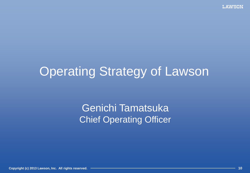# Operating Strategy of Lawson

## Genichi Tamatsuka Chief Operating Officer

**Copyright (c) 2013 Lawson, Inc. All rights reserved. 10**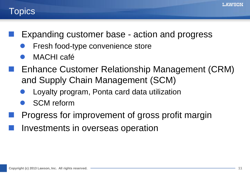#### **Topics**

- Expanding customer base action and progress
	- Fresh food-type convenience store
	- MACHI café
	- Enhance Customer Relationship Management (CRM) and Supply Chain Management (SCM)
		- Loyalty program, Ponta card data utilization
		- SCM reform
- Progress for improvement of gross profit margin
- Investments in overseas operation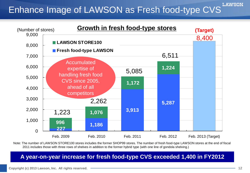#### **LAWSON** Enhance Image of LAWSON as Fresh food-type CVS



Note: The number of LAWSON STORE100 stores includes the former SHOP99 stores. The number of fresh food-type LAWSON stores at the end of fiscal 2011 includes those with three rows of shelves in addition to the former hybrid type (with one line of gondola shelving.)

#### **A year-on-year increase for fresh food-type CVS exceeded 1,400 in FY2012**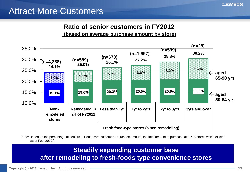### Attract More Customers

#### **Ratio of senior customers in FY2012**

**(based on average purchase amount by store)**



Note: Based on the percentage of seniors in Ponta card customers' purchase amount, the total amount of purchase at 8,775 stores which existed as of Feb. 2012.)

#### **Steadily expanding customer base after remodeling to fresh-foods type convenience stores**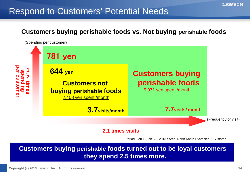### Respond to Customers' Potential Needs

#### **Customers buying perishable foods vs. Not buying perishable foods**



#### **2.1 times visits**

Period: Feb 1- Feb. 28, 2013 / Area: North Kanto / Sampled: 117 stores

**Customers buying perishable foods turned out to be loyal customers – they spend 2.5 times more.**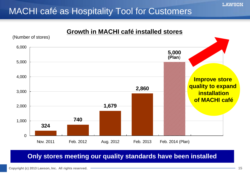### MACHI café as Hospitality Tool for Customers



#### **Only stores meeting our quality standards have been installed**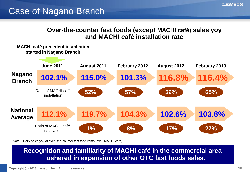#### **Over-the-counter fast foods (except MACHI café) sales yoy and MACHI café installation rate**

#### **MACHI café precedent installation started in Nagano Branch**



Note: Daily sales yoy of over -the-counter fast food items (excl. MACHI café)

#### **Recognition and familiarity of MACHI café in the commercial area ushered in expansion of other OTC fast foods sales.**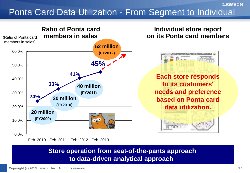### Ponta Card Data Utilization - From Segment to Individual



#### **Individual store report on its Ponta card members**



**Each store responds to its customers' needs and preference based on Ponta card data utilization.**



#### **Store operation from seat-of-the-pants approach to data-driven analytical approach**

**LAWSON**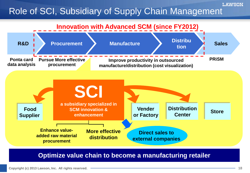## Role of SCI, Subsidiary of Supply Chain Management



**Optimize value chain to become a manufacturing retailer**

**LAWSON**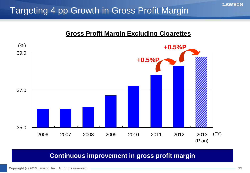### Targeting 4 pp Growth in Gross Profit Margin

#### **Gross Profit Margin Excluding Cigarettes**



#### **Continuous improvement in gross profit margin**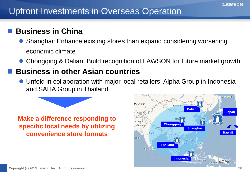### Upfront Investments in Overseas Operation

#### **Business in China**

- Shanghai: Enhance existing stores than expand considering worsening economic climate
- Chongqing & Dalian: Build recognition of LAWSON for future market growth

#### **Business in other Asian countries**

 Unfold in collaboration with major local retailers, Alpha Group in Indonesia and SAHA Group in Thailand



#### **Make a difference responding to specific local needs by utilizing convenience store formats**

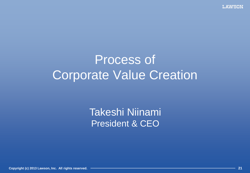**LAWSON** 

# Process of Corporate Value Creation

Takeshi Niinami President & CEO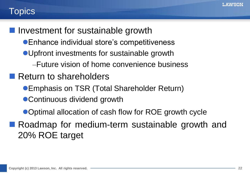### **Topics**

**Investment for sustainable growth** 

- Enhance individual store's competitiveness
- Upfront investments for sustainable growth
	- –Future vision of home convenience business
- Return to shareholders
	- **Emphasis on TSR (Total Shareholder Return)**
	- Continuous dividend growth
	- Optimal allocation of cash flow for ROE growth cycle
- **Roadmap for medium-term sustainable growth and** 20% ROE target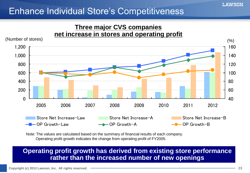### Enhance Individual Store's Competitiveness



Note: The values are calculated based on the summary of financial results of each company. Operating profit growth indicates the change from operating profit of FY2005.

#### **Operating profit growth has derived from existing store performance rather than the increased number of new openings**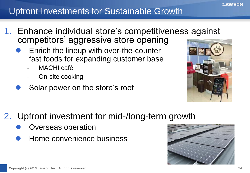### Upfront Investments for Sustainable Growth

- 1. Enhance individual store's competitiveness against competitors' aggressive store opening
	- Enrich the lineup with over-the-counter fast foods for expanding customer base
		- MACHI café
		- On-site cooking
	- Solar power on the store's roof



- 2. Upfront investment for mid-/long-term growth
	- Overseas operation
	- Home convenience business

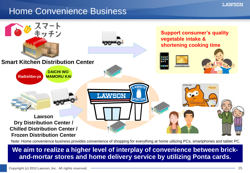### Home Convenience Business



Note: Home convenience business provides convenience of shopping for everything at home utilizing PCs, smartphones and tablet PC.

#### **We aim to realize a higher level of interplay of convenience between brickand-mortar stores and home delivery service by utilizing Ponta cards.**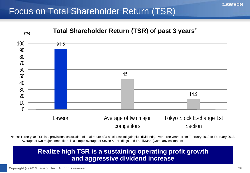### Focus on Total Shareholder Return (TSR)



Notes: Three-year TSR is a provisional calculation of total return of a stock (capital gain plus dividends) over three years from February 2010 to February 2013. Average of two major competitors is a simple average of Seven & i Holdings and FamilyMart (Company estimates)

#### **Realize high TSR is a sustaining operating profit growth and aggressive dividend increase**

**Copyright (c) 2013 Lawson, Inc. All rights reserved. 26**

**LAWSON**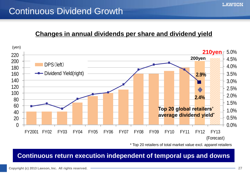### Continuous Dividend Growth

#### **Changes in annual dividends per share and dividend yield**



\* Top 20 retailers of total market value excl. apparel retailers

#### **Continuous return execution independent of temporal ups and downs**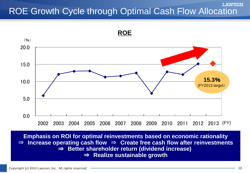#### **LAWSON** ROE Growth Cycle through Optimal Cash Flow Allocation



**Copyright (c) 2013 Lawson, Inc. All rights reserved. Complementary** and **Copyright (c) 2013 Lawson, Inc. All rights reserved.** → **Complementary**  $\rightarrow$  **Copyright (c) 2013 Lawson, Inc. All rights reserved.** → **28 Emphasis on ROI for optimal reinvestments based on economic rationality** ⇒ **Increase operating cash flow** ⇒ **Create free cash flow after reinvestments** ⇒ **Better shareholder return (dividend increase)**  ⇒ **Realize sustainable growth**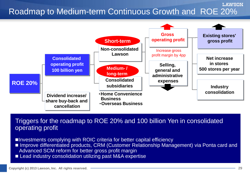## Roadmap to Medium-term Continuous Growth and ROE 20%



Triggers for the roadmap to ROE 20% and 100 billion Yen in consolidated operating profit

■Investments complying with ROIC criteria for better capital efficiency

- Improve differentiated products, CRM (Customer Relationship Management) via Ponta card and Advanced SCM reform for better gross profit margin
- Lead industry consolidation utilizing past M&A expertise

**LAWSON**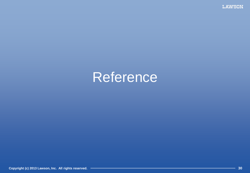**LAWSON** 

# Reference

**Copyright (c) 2013 Lawson, Inc. All rights reserved. 30**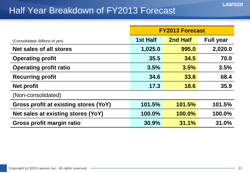### Half Year Breakdown of FY2013 Forecast

|                                       | <b>FY2013 Forecast</b> |          |                  |  |
|---------------------------------------|------------------------|----------|------------------|--|
| (Consolidated: Billions of yen)       | 1st Half               | 2nd Half | <b>Full year</b> |  |
| <b>Net sales of all stores</b>        | 1,025.0                | 995.0    | 2,020.0          |  |
| <b>Operating profit</b>               | 35.5                   | 34.5     | 70.0             |  |
| <b>Operating profit ratio</b>         | 3.5%                   | 3.5%     | 3.5%             |  |
| <b>Recurring profit</b>               | 34.6                   | 33.8     | 68.4             |  |
| <b>Net profit</b>                     | 17.3                   | 18.6     | 35.9             |  |
| (Non-consolidated)                    |                        |          |                  |  |
| Gross profit at existing stores (YoY) | 101.5%                 | 101.5%   | 101.5%           |  |
| Net sales at existing stores (YoY)    | 100.0%                 | 100.0%   | 100.0%           |  |
| Gross profit margin ratio             | 30.9%                  | 31.1%    | 31.0%            |  |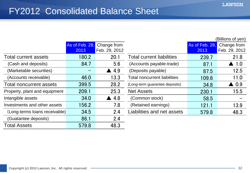$(D)$  $B = \{f(x), g(x)\}$ 

### FY2012 Consolidated Balance Sheet

|                                |                        |                              |                                     |                        | Billions of yen)             |
|--------------------------------|------------------------|------------------------------|-------------------------------------|------------------------|------------------------------|
|                                | As of Feb. 28,<br>2013 | Change from<br>Feb. 29, 2012 |                                     | As of Feb. 28.<br>2013 | Change from<br>Feb. 29, 2012 |
| <b>Total current assets</b>    | 180.2                  | 20.1                         | <b>Total current liabilities</b>    | 239.7                  | 21.8                         |
| (Cash and deposits)            | 84.7                   | 5.6                          | (Accounts payable-trade)            | 87.1                   | $\blacktriangle$ 1.0         |
| (Marketable securities)        |                        | $\blacktriangle$ 4.9         | (Deposits payable)                  | 87.5                   | 12.5                         |
| (Accounts receivable)          | 46.0                   | 13.3                         | <b>Total noncurrent liabilities</b> | 109.8                  | 11.0                         |
| <b>Total noncurrent assets</b> | 399.5                  | 28.2                         | (Long-term guarantee deposits)      | 34.8                   | $\blacktriangle$ 0.9         |
| Property, plant and equipment  | 209.1                  | 25.3                         | <b>Net Assets</b>                   | 230.1                  | 15.5                         |
| Intangible assets              | 34.0                   | 4.8                          | (Common stock)                      | 58.5                   |                              |
| Investments and other assets   | 156.2                  | 7.8                          | (Retained earnings)                 | 121.1                  | 13.9                         |
| (Long-terms loans receivable)  | 34.5                   | 2.4                          | Liabilities and net assets          | 579.8                  | 48.3                         |
| (Guatantee deposits)           | 86.1                   | 2.4                          |                                     |                        |                              |
| <b>Total Assets</b>            | 579.8                  | 48.3                         |                                     |                        |                              |